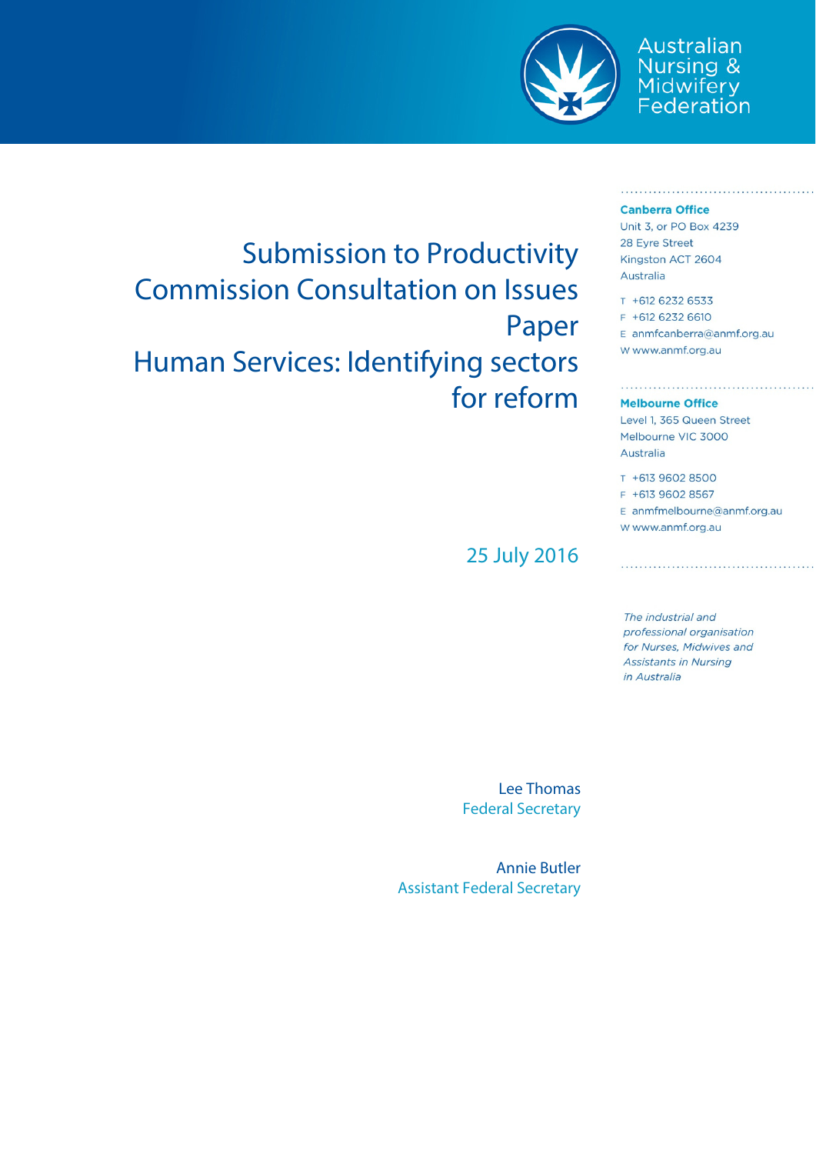

Australian Nursing &<br>Midwifery<br>Federation

#### **Canberra Office**

Submission to Productivity Commission Consultation on Issues Paper Human Services: Identifying sectors for reform

25 July 2016

Unit 3, or PO Box 4239 28 Eyre Street Kingston ACT 2604 Australia

T +612 6232 6533 F +612 6232 6610 E anmfcanberra@anmf.org.au w www.anmf.org.au

#### **Melbourne Office**

Level 1, 365 Queen Street Melbourne VIC 3000 Australia

T +613 9602 8500 F +613 9602 8567 E anmfmelbourne@anmf.org.au W www.anmf.org.au

The industrial and professional organisation for Nurses, Midwives and **Assistants in Nursing** in Australia

Lee Thomas Federal Secretary

Annie Butler Assistant Federal Secretary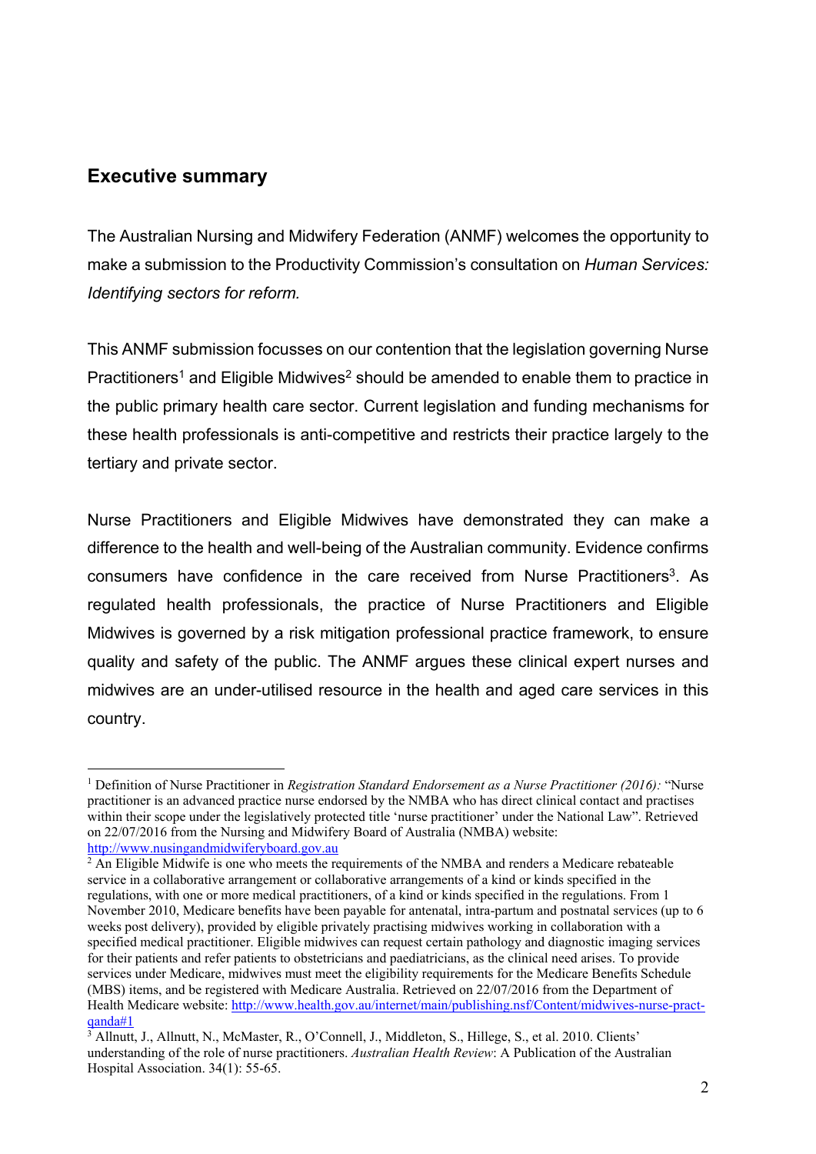# **Executive summary**

1

The Australian Nursing and Midwifery Federation (ANMF) welcomes the opportunity to make a submission to the Productivity Commission's consultation on *Human Services: Identifying sectors for reform.* 

This ANMF submission focusses on our contention that the legislation governing Nurse Practitioners<sup>1</sup> and Eligible Midwives<sup>2</sup> should be amended to enable them to practice in the public primary health care sector. Current legislation and funding mechanisms for these health professionals is anti-competitive and restricts their practice largely to the tertiary and private sector.

Nurse Practitioners and Eligible Midwives have demonstrated they can make a difference to the health and well-being of the Australian community. Evidence confirms consumers have confidence in the care received from Nurse Practitioners<sup>3</sup>. As regulated health professionals, the practice of Nurse Practitioners and Eligible Midwives is governed by a risk mitigation professional practice framework, to ensure quality and safety of the public. The ANMF argues these clinical expert nurses and midwives are an under-utilised resource in the health and aged care services in this country.

<sup>&</sup>lt;sup>1</sup> Definition of Nurse Practitioner in *Registration Standard Endorsement as a Nurse Practitioner (2016):* "Nurse practitioner is an advanced practice nurse endorsed by the NMBA who has direct clinical contact and practises within their scope under the legislatively protected title 'nurse practitioner' under the National Law". Retrieved on 22/07/2016 from the Nursing and Midwifery Board of Australia (NMBA) website: http://www.nusingandmidwiferyboard.gov.au 2

 $\frac{2}{3}$  An Eligible Midwife is one who meets the requirements of the NMBA and renders a Medicare rebateable service in a collaborative arrangement or collaborative arrangements of a kind or kinds specified in the regulations, with one or more medical practitioners, of a kind or kinds specified in the regulations. From 1 November 2010, Medicare benefits have been payable for antenatal, intra-partum and postnatal services (up to 6 weeks post delivery), provided by eligible privately practising midwives working in collaboration with a specified medical practitioner. Eligible midwives can request certain pathology and diagnostic imaging services for their patients and refer patients to obstetricians and paediatricians, as the clinical need arises. To provide services under Medicare, midwives must meet the eligibility requirements for the Medicare Benefits Schedule (MBS) items, and be registered with Medicare Australia. Retrieved on 22/07/2016 from the Department of Health Medicare website: http://www.health.gov.au/internet/main/publishing.nsf/Content/midwives-nurse-practqanda#1 3

<sup>&</sup>lt;sup>3</sup> Allnutt, J., Allnutt, N., McMaster, R., O'Connell, J., Middleton, S., Hillege, S., et al. 2010. Clients' understanding of the role of nurse practitioners. *Australian Health Review*: A Publication of the Australian Hospital Association. 34(1): 55-65.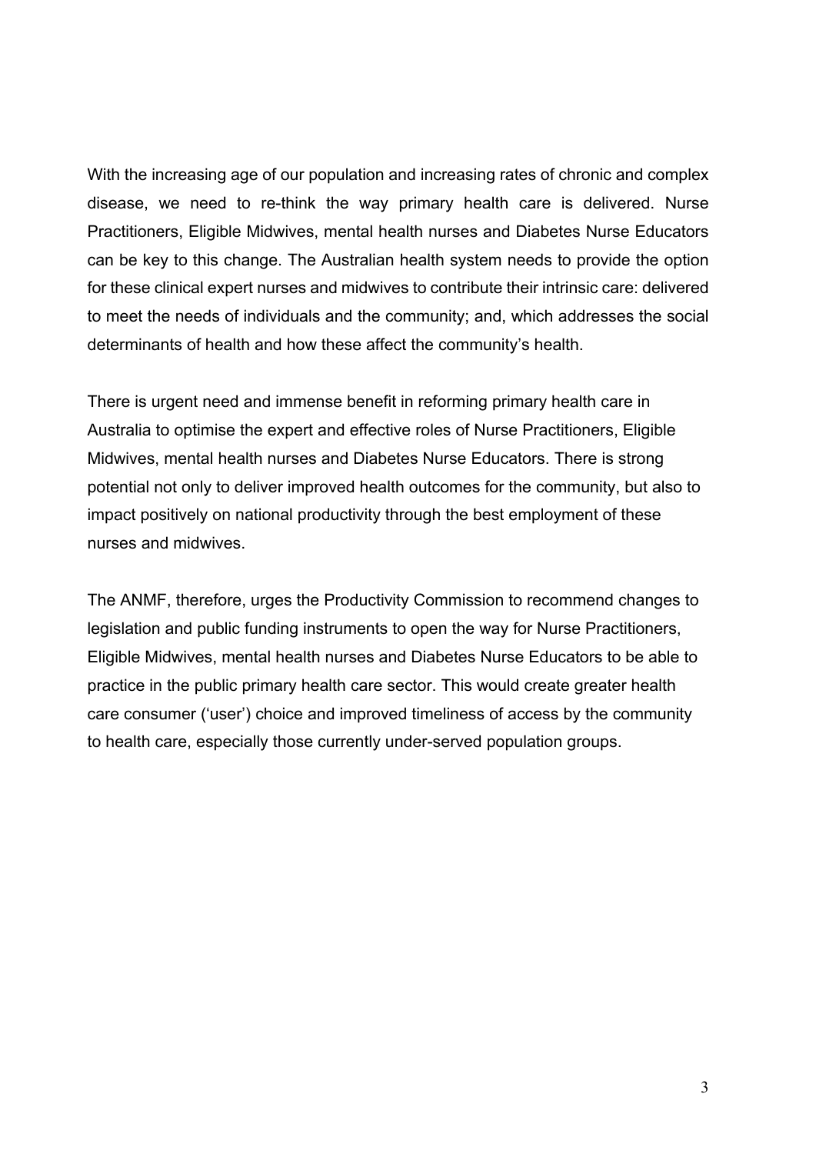With the increasing age of our population and increasing rates of chronic and complex disease, we need to re-think the way primary health care is delivered. Nurse Practitioners, Eligible Midwives, mental health nurses and Diabetes Nurse Educators can be key to this change. The Australian health system needs to provide the option for these clinical expert nurses and midwives to contribute their intrinsic care: delivered to meet the needs of individuals and the community; and, which addresses the social determinants of health and how these affect the community's health.

There is urgent need and immense benefit in reforming primary health care in Australia to optimise the expert and effective roles of Nurse Practitioners, Eligible Midwives, mental health nurses and Diabetes Nurse Educators. There is strong potential not only to deliver improved health outcomes for the community, but also to impact positively on national productivity through the best employment of these nurses and midwives.

The ANMF, therefore, urges the Productivity Commission to recommend changes to legislation and public funding instruments to open the way for Nurse Practitioners, Eligible Midwives, mental health nurses and Diabetes Nurse Educators to be able to practice in the public primary health care sector. This would create greater health care consumer ('user') choice and improved timeliness of access by the community to health care, especially those currently under-served population groups.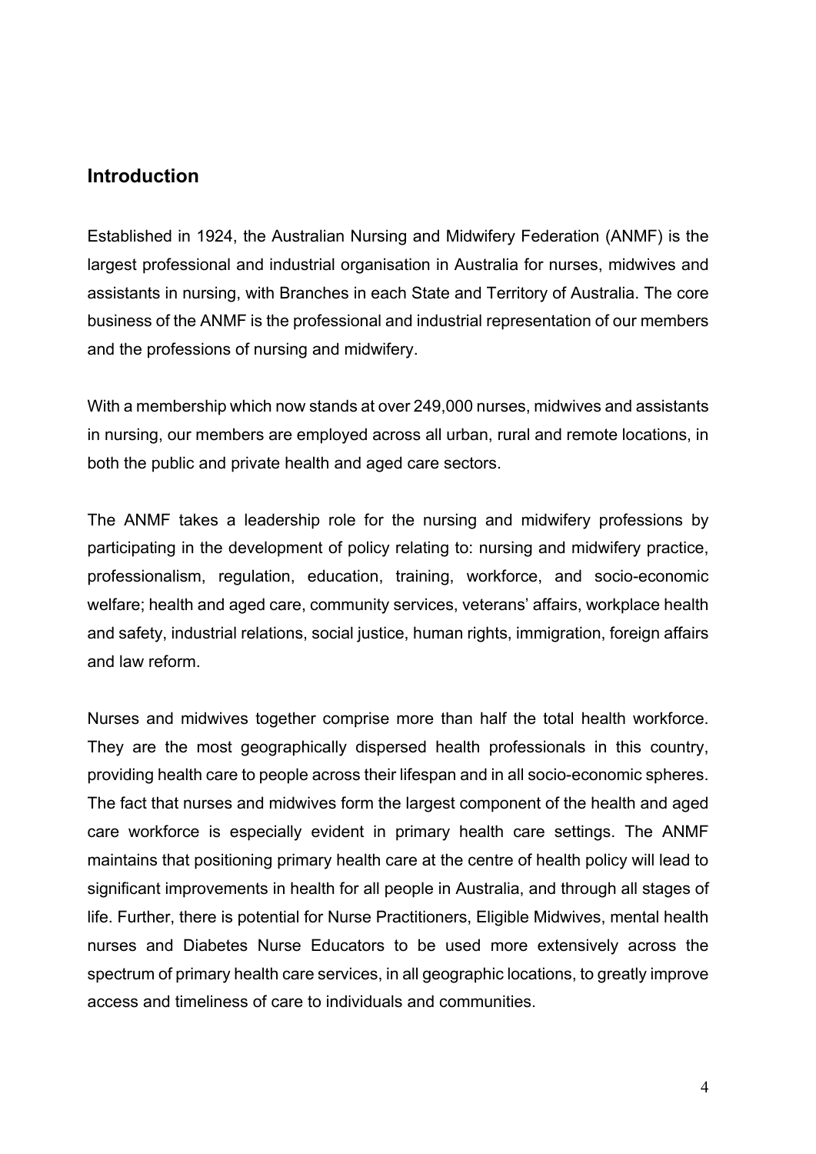# **Introduction**

Established in 1924, the Australian Nursing and Midwifery Federation (ANMF) is the largest professional and industrial organisation in Australia for nurses, midwives and assistants in nursing, with Branches in each State and Territory of Australia. The core business of the ANMF is the professional and industrial representation of our members and the professions of nursing and midwifery.

With a membership which now stands at over 249,000 nurses, midwives and assistants in nursing, our members are employed across all urban, rural and remote locations, in both the public and private health and aged care sectors.

The ANMF takes a leadership role for the nursing and midwifery professions by participating in the development of policy relating to: nursing and midwifery practice, professionalism, regulation, education, training, workforce, and socio-economic welfare; health and aged care, community services, veterans' affairs, workplace health and safety, industrial relations, social justice, human rights, immigration, foreign affairs and law reform.

Nurses and midwives together comprise more than half the total health workforce. They are the most geographically dispersed health professionals in this country, providing health care to people across their lifespan and in all socio-economic spheres. The fact that nurses and midwives form the largest component of the health and aged care workforce is especially evident in primary health care settings. The ANMF maintains that positioning primary health care at the centre of health policy will lead to significant improvements in health for all people in Australia, and through all stages of life. Further, there is potential for Nurse Practitioners, Eligible Midwives, mental health nurses and Diabetes Nurse Educators to be used more extensively across the spectrum of primary health care services, in all geographic locations, to greatly improve access and timeliness of care to individuals and communities.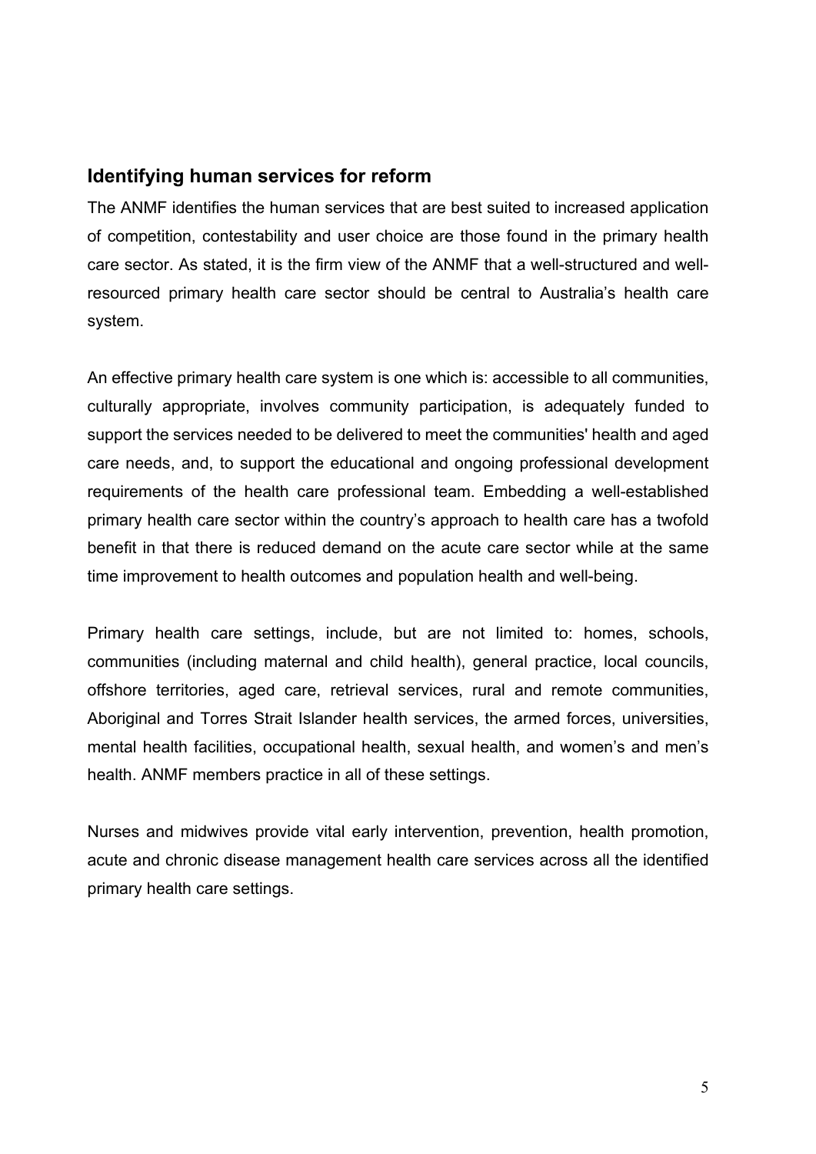# **Identifying human services for reform**

The ANMF identifies the human services that are best suited to increased application of competition, contestability and user choice are those found in the primary health care sector. As stated, it is the firm view of the ANMF that a well-structured and wellresourced primary health care sector should be central to Australia's health care system.

An effective primary health care system is one which is: accessible to all communities, culturally appropriate, involves community participation, is adequately funded to support the services needed to be delivered to meet the communities' health and aged care needs, and, to support the educational and ongoing professional development requirements of the health care professional team. Embedding a well-established primary health care sector within the country's approach to health care has a twofold benefit in that there is reduced demand on the acute care sector while at the same time improvement to health outcomes and population health and well-being.

Primary health care settings, include, but are not limited to: homes, schools, communities (including maternal and child health), general practice, local councils, offshore territories, aged care, retrieval services, rural and remote communities, Aboriginal and Torres Strait Islander health services, the armed forces, universities, mental health facilities, occupational health, sexual health, and women's and men's health. ANMF members practice in all of these settings.

Nurses and midwives provide vital early intervention, prevention, health promotion, acute and chronic disease management health care services across all the identified primary health care settings.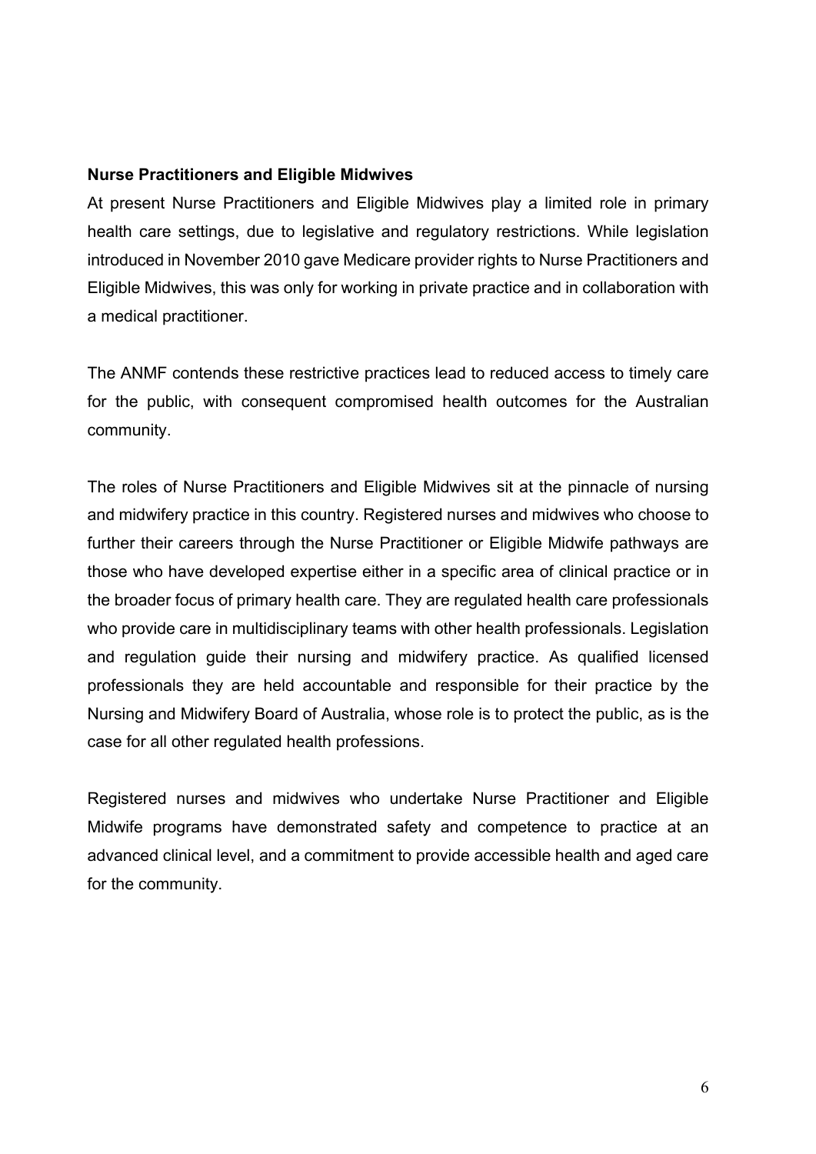### **Nurse Practitioners and Eligible Midwives**

At present Nurse Practitioners and Eligible Midwives play a limited role in primary health care settings, due to legislative and regulatory restrictions. While legislation introduced in November 2010 gave Medicare provider rights to Nurse Practitioners and Eligible Midwives, this was only for working in private practice and in collaboration with a medical practitioner.

The ANMF contends these restrictive practices lead to reduced access to timely care for the public, with consequent compromised health outcomes for the Australian community.

The roles of Nurse Practitioners and Eligible Midwives sit at the pinnacle of nursing and midwifery practice in this country. Registered nurses and midwives who choose to further their careers through the Nurse Practitioner or Eligible Midwife pathways are those who have developed expertise either in a specific area of clinical practice or in the broader focus of primary health care. They are regulated health care professionals who provide care in multidisciplinary teams with other health professionals. Legislation and regulation guide their nursing and midwifery practice. As qualified licensed professionals they are held accountable and responsible for their practice by the Nursing and Midwifery Board of Australia, whose role is to protect the public, as is the case for all other regulated health professions.

Registered nurses and midwives who undertake Nurse Practitioner and Eligible Midwife programs have demonstrated safety and competence to practice at an advanced clinical level, and a commitment to provide accessible health and aged care for the community.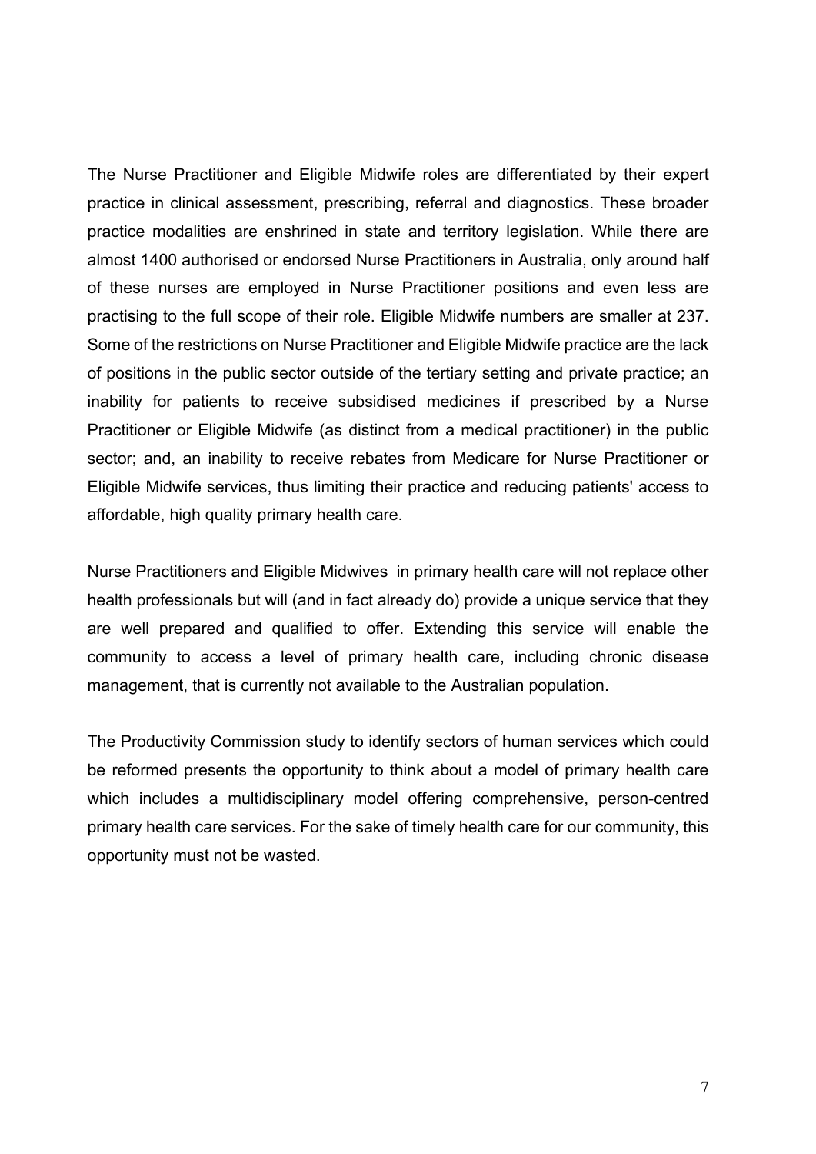The Nurse Practitioner and Eligible Midwife roles are differentiated by their expert practice in clinical assessment, prescribing, referral and diagnostics. These broader practice modalities are enshrined in state and territory legislation. While there are almost 1400 authorised or endorsed Nurse Practitioners in Australia, only around half of these nurses are employed in Nurse Practitioner positions and even less are practising to the full scope of their role. Eligible Midwife numbers are smaller at 237. Some of the restrictions on Nurse Practitioner and Eligible Midwife practice are the lack of positions in the public sector outside of the tertiary setting and private practice; an inability for patients to receive subsidised medicines if prescribed by a Nurse Practitioner or Eligible Midwife (as distinct from a medical practitioner) in the public sector; and, an inability to receive rebates from Medicare for Nurse Practitioner or Eligible Midwife services, thus limiting their practice and reducing patients' access to affordable, high quality primary health care.

Nurse Practitioners and Eligible Midwives in primary health care will not replace other health professionals but will (and in fact already do) provide a unique service that they are well prepared and qualified to offer. Extending this service will enable the community to access a level of primary health care, including chronic disease management, that is currently not available to the Australian population.

The Productivity Commission study to identify sectors of human services which could be reformed presents the opportunity to think about a model of primary health care which includes a multidisciplinary model offering comprehensive, person-centred primary health care services. For the sake of timely health care for our community, this opportunity must not be wasted.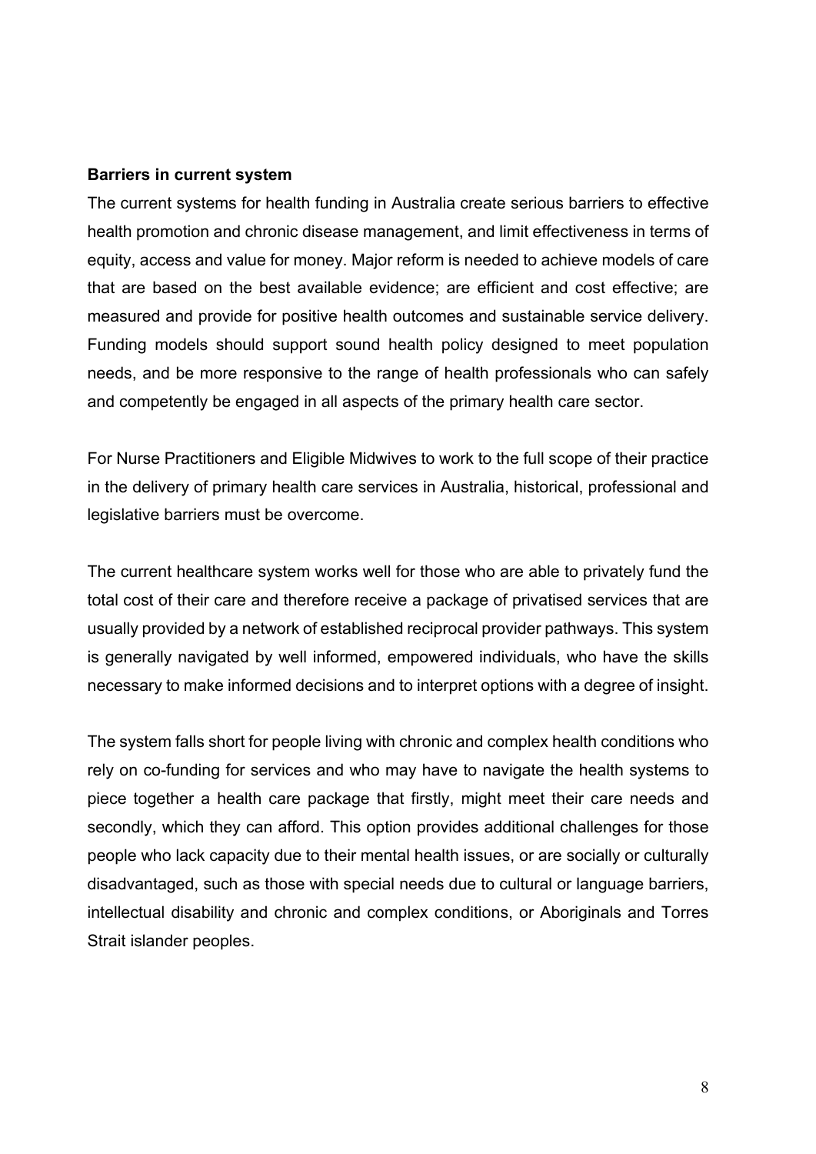#### **Barriers in current system**

The current systems for health funding in Australia create serious barriers to effective health promotion and chronic disease management, and limit effectiveness in terms of equity, access and value for money. Major reform is needed to achieve models of care that are based on the best available evidence; are efficient and cost effective; are measured and provide for positive health outcomes and sustainable service delivery. Funding models should support sound health policy designed to meet population needs, and be more responsive to the range of health professionals who can safely and competently be engaged in all aspects of the primary health care sector.

For Nurse Practitioners and Eligible Midwives to work to the full scope of their practice in the delivery of primary health care services in Australia, historical, professional and legislative barriers must be overcome.

The current healthcare system works well for those who are able to privately fund the total cost of their care and therefore receive a package of privatised services that are usually provided by a network of established reciprocal provider pathways. This system is generally navigated by well informed, empowered individuals, who have the skills necessary to make informed decisions and to interpret options with a degree of insight.

The system falls short for people living with chronic and complex health conditions who rely on co-funding for services and who may have to navigate the health systems to piece together a health care package that firstly, might meet their care needs and secondly, which they can afford. This option provides additional challenges for those people who lack capacity due to their mental health issues, or are socially or culturally disadvantaged, such as those with special needs due to cultural or language barriers, intellectual disability and chronic and complex conditions, or Aboriginals and Torres Strait islander peoples.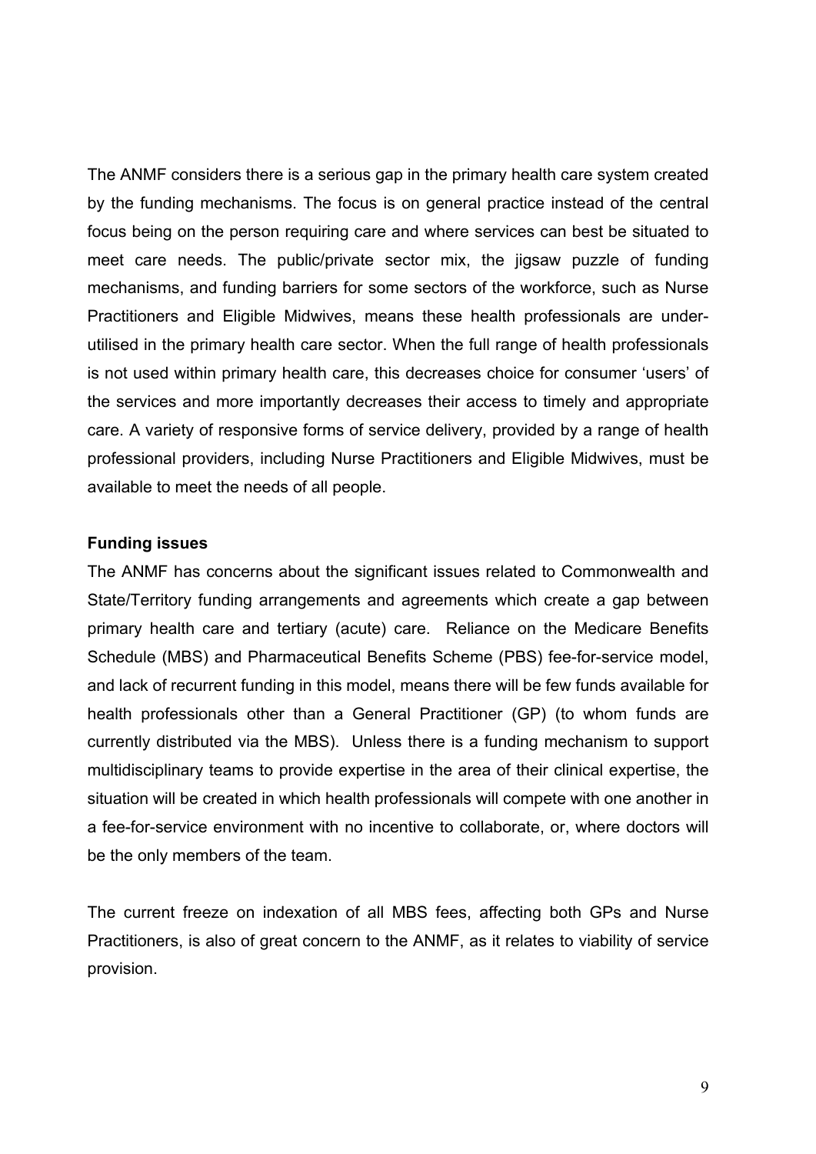The ANMF considers there is a serious gap in the primary health care system created by the funding mechanisms. The focus is on general practice instead of the central focus being on the person requiring care and where services can best be situated to meet care needs. The public/private sector mix, the jigsaw puzzle of funding mechanisms, and funding barriers for some sectors of the workforce, such as Nurse Practitioners and Eligible Midwives, means these health professionals are underutilised in the primary health care sector. When the full range of health professionals is not used within primary health care, this decreases choice for consumer 'users' of the services and more importantly decreases their access to timely and appropriate care. A variety of responsive forms of service delivery, provided by a range of health professional providers, including Nurse Practitioners and Eligible Midwives, must be available to meet the needs of all people.

#### **Funding issues**

The ANMF has concerns about the significant issues related to Commonwealth and State/Territory funding arrangements and agreements which create a gap between primary health care and tertiary (acute) care. Reliance on the Medicare Benefits Schedule (MBS) and Pharmaceutical Benefits Scheme (PBS) fee-for-service model, and lack of recurrent funding in this model, means there will be few funds available for health professionals other than a General Practitioner (GP) (to whom funds are currently distributed via the MBS). Unless there is a funding mechanism to support multidisciplinary teams to provide expertise in the area of their clinical expertise, the situation will be created in which health professionals will compete with one another in a fee-for-service environment with no incentive to collaborate, or, where doctors will be the only members of the team.

The current freeze on indexation of all MBS fees, affecting both GPs and Nurse Practitioners, is also of great concern to the ANMF, as it relates to viability of service provision.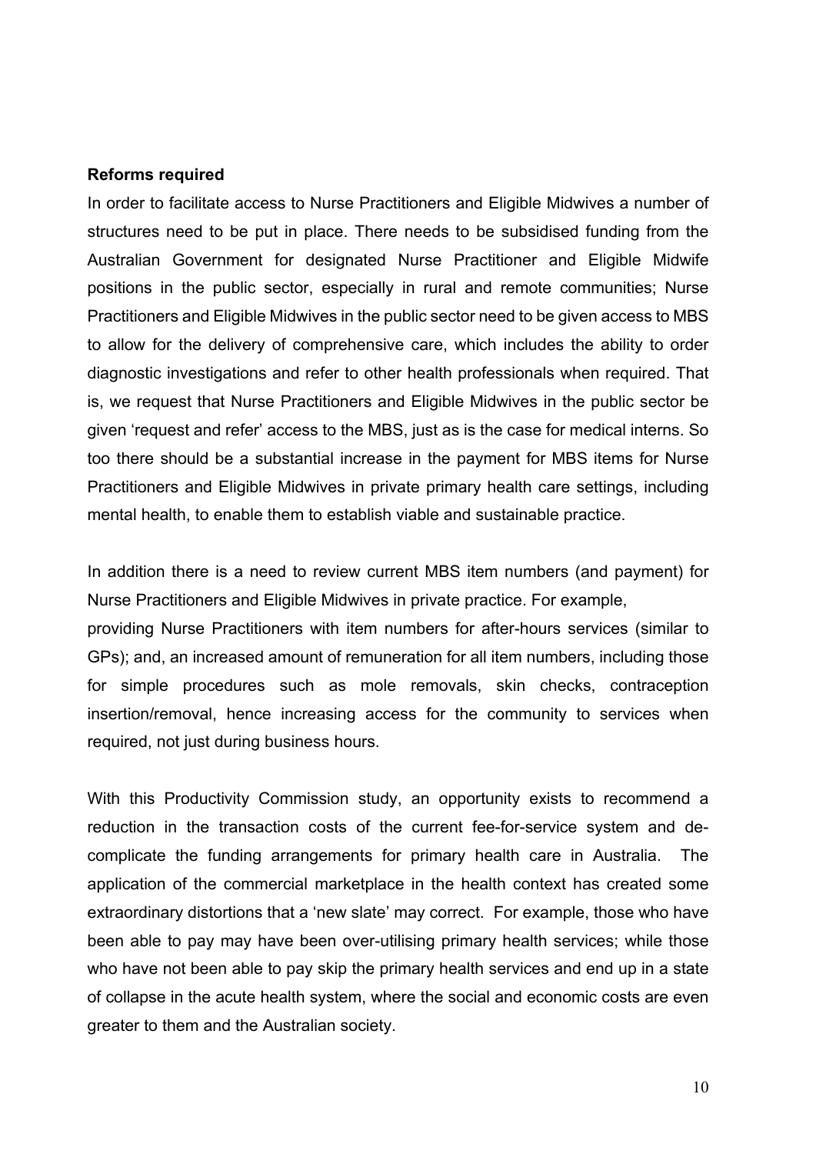#### **Reforms required**

In order to facilitate access to Nurse Practitioners and Eligible Midwives a number of structures need to be put in place. There needs to be subsidised funding from the Australian Government for designated Nurse Practitioner and Eligible Midwife positions in the public sector, especially in rural and remote communities; Nurse Practitioners and Eligible Midwives in the public sector need to be given access to MBS to allow for the delivery of comprehensive care, which includes the ability to order diagnostic investigations and refer to other health professionals when required. That is, we request that Nurse Practitioners and Eligible Midwives in the public sector be given 'request and refer' access to the MBS, just as is the case for medical interns. So too there should be a substantial increase in the payment for MBS items for Nurse Practitioners and Eligible Midwives in private primary health care settings, including mental health, to enable them to establish viable and sustainable practice.

In addition there is a need to review current MBS item numbers (and payment) for Nurse Practitioners and Eligible Midwives in private practice. For example, providing Nurse Practitioners with item numbers for after-hours services (similar to

GPs); and, an increased amount of remuneration for all item numbers, including those for simple procedures such as mole removals, skin checks, contraception insertion/removal, hence increasing access for the community to services when required, not just during business hours.

With this Productivity Commission study, an opportunity exists to recommend a reduction in the transaction costs of the current fee-for-service system and decomplicate the funding arrangements for primary health care in Australia. The application of the commercial marketplace in the health context has created some extraordinary distortions that a 'new slate' may correct. For example, those who have been able to pay may have been over-utilising primary health services; while those who have not been able to pay skip the primary health services and end up in a state of collapse in the acute health system, where the social and economic costs are even greater to them and the Australian society.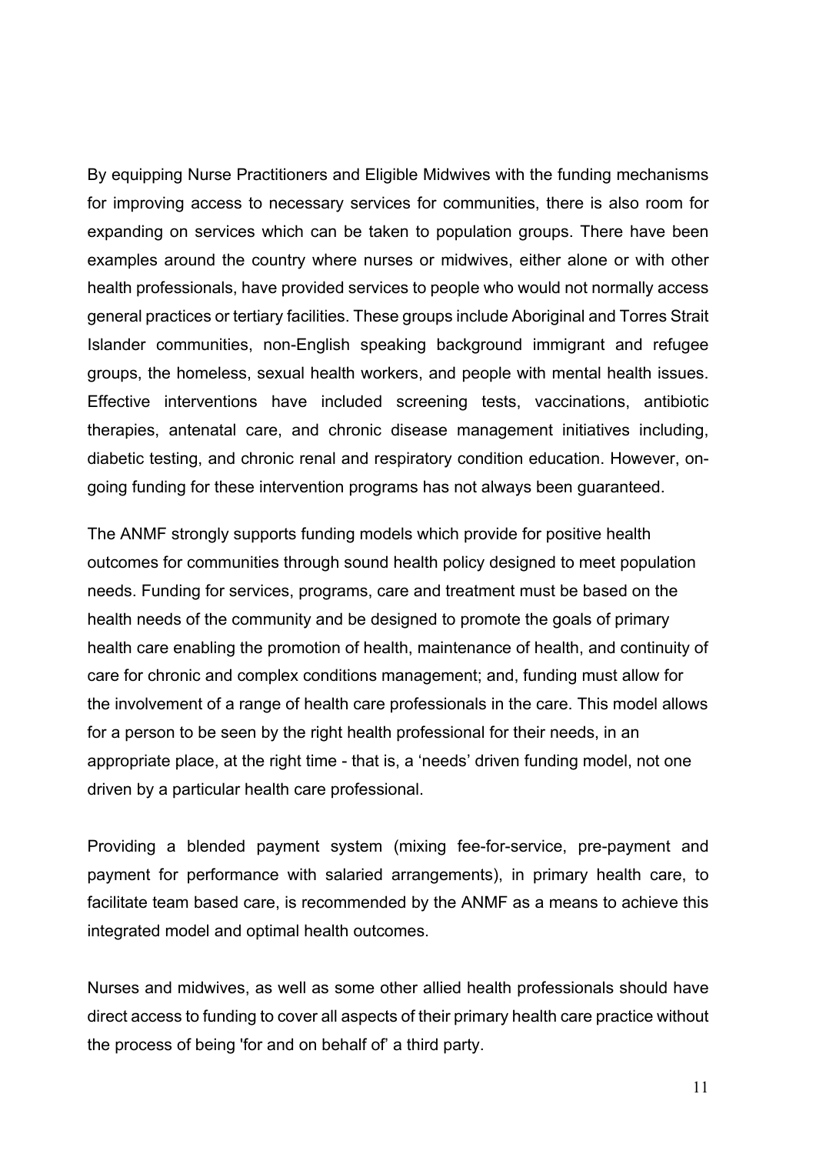By equipping Nurse Practitioners and Eligible Midwives with the funding mechanisms for improving access to necessary services for communities, there is also room for expanding on services which can be taken to population groups. There have been examples around the country where nurses or midwives, either alone or with other health professionals, have provided services to people who would not normally access general practices or tertiary facilities. These groups include Aboriginal and Torres Strait Islander communities, non-English speaking background immigrant and refugee groups, the homeless, sexual health workers, and people with mental health issues. Effective interventions have included screening tests, vaccinations, antibiotic therapies, antenatal care, and chronic disease management initiatives including, diabetic testing, and chronic renal and respiratory condition education. However, ongoing funding for these intervention programs has not always been guaranteed.

The ANMF strongly supports funding models which provide for positive health outcomes for communities through sound health policy designed to meet population needs. Funding for services, programs, care and treatment must be based on the health needs of the community and be designed to promote the goals of primary health care enabling the promotion of health, maintenance of health, and continuity of care for chronic and complex conditions management; and, funding must allow for the involvement of a range of health care professionals in the care. This model allows for a person to be seen by the right health professional for their needs, in an appropriate place, at the right time - that is, a 'needs' driven funding model, not one driven by a particular health care professional.

Providing a blended payment system (mixing fee-for-service, pre-payment and payment for performance with salaried arrangements), in primary health care, to facilitate team based care, is recommended by the ANMF as a means to achieve this integrated model and optimal health outcomes.

Nurses and midwives, as well as some other allied health professionals should have direct access to funding to cover all aspects of their primary health care practice without the process of being 'for and on behalf of' a third party.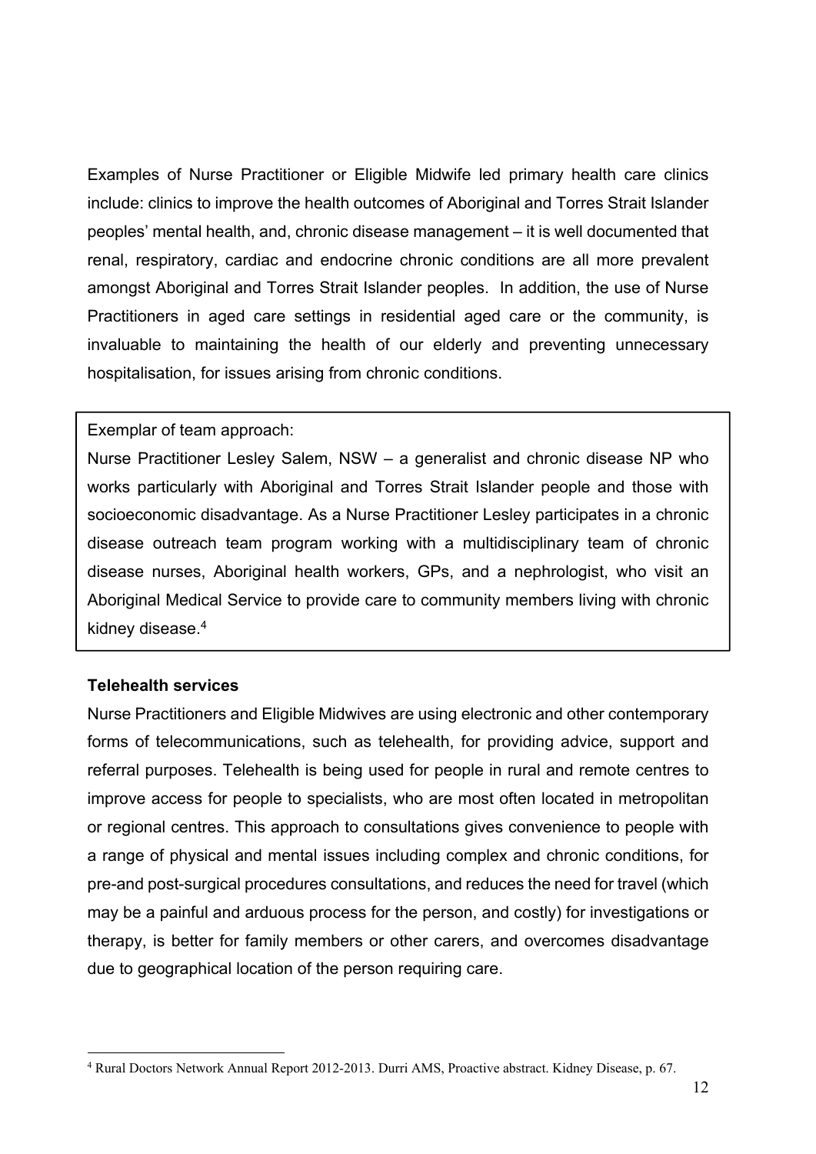Examples of Nurse Practitioner or Eligible Midwife led primary health care clinics include: clinics to improve the health outcomes of Aboriginal and Torres Strait Islander peoples' mental health, and, chronic disease management – it is well documented that renal, respiratory, cardiac and endocrine chronic conditions are all more prevalent amongst Aboriginal and Torres Strait Islander peoples. In addition, the use of Nurse Practitioners in aged care settings in residential aged care or the community, is invaluable to maintaining the health of our elderly and preventing unnecessary hospitalisation, for issues arising from chronic conditions.

### Exemplar of team approach:

Nurse Practitioner Lesley Salem, NSW – a generalist and chronic disease NP who works particularly with Aboriginal and Torres Strait Islander people and those with socioeconomic disadvantage. As a Nurse Practitioner Lesley participates in a chronic disease outreach team program working with a multidisciplinary team of chronic disease nurses, Aboriginal health workers, GPs, and a nephrologist, who visit an Aboriginal Medical Service to provide care to community members living with chronic kidney disease.4

### **Telehealth services**

Nurse Practitioners and Eligible Midwives are using electronic and other contemporary forms of telecommunications, such as telehealth, for providing advice, support and referral purposes. Telehealth is being used for people in rural and remote centres to improve access for people to specialists, who are most often located in metropolitan or regional centres. This approach to consultations gives convenience to people with a range of physical and mental issues including complex and chronic conditions, for pre-and post-surgical procedures consultations, and reduces the need for travel (which may be a painful and arduous process for the person, and costly) for investigations or therapy, is better for family members or other carers, and overcomes disadvantage due to geographical location of the person requiring care.

<sup>&</sup>lt;u>.</u> 4 Rural Doctors Network Annual Report 2012-2013. Durri AMS, Proactive abstract. Kidney Disease, p. 67.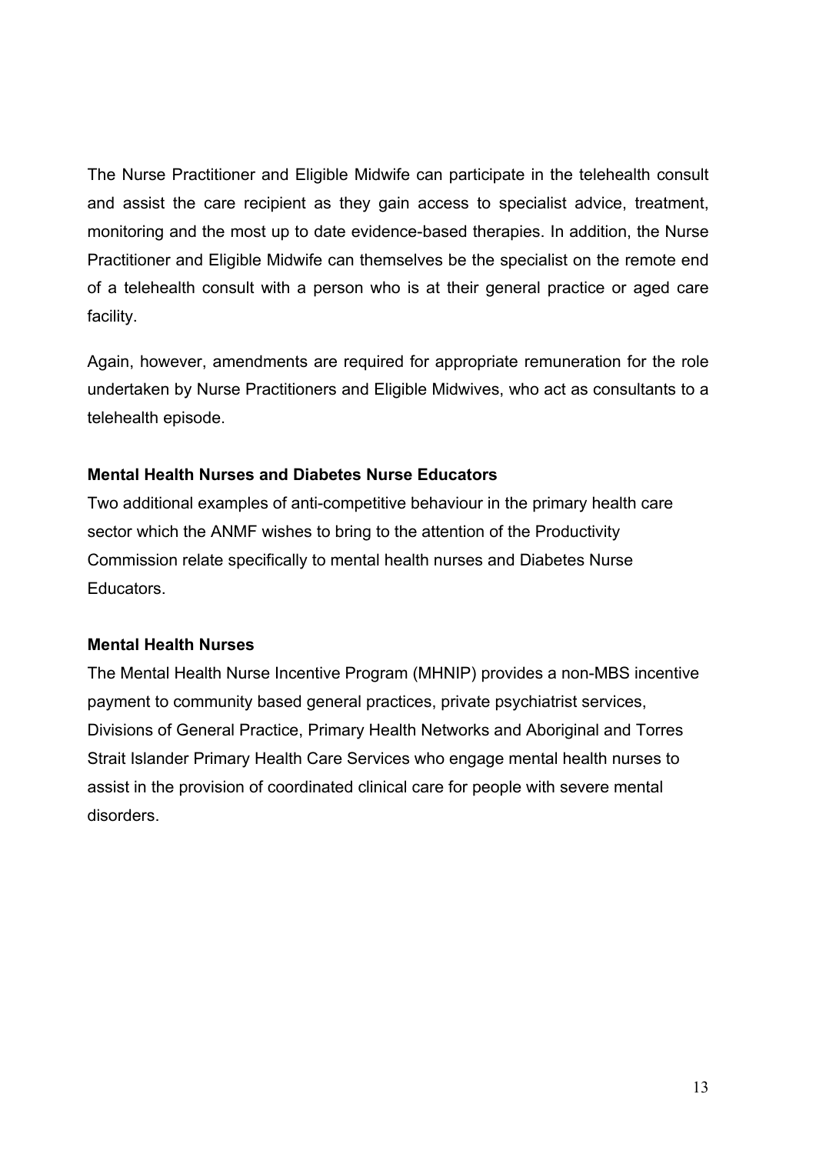The Nurse Practitioner and Eligible Midwife can participate in the telehealth consult and assist the care recipient as they gain access to specialist advice, treatment, monitoring and the most up to date evidence-based therapies. In addition, the Nurse Practitioner and Eligible Midwife can themselves be the specialist on the remote end of a telehealth consult with a person who is at their general practice or aged care facility.

Again, however, amendments are required for appropriate remuneration for the role undertaken by Nurse Practitioners and Eligible Midwives, who act as consultants to a telehealth episode.

## **Mental Health Nurses and Diabetes Nurse Educators**

Two additional examples of anti-competitive behaviour in the primary health care sector which the ANMF wishes to bring to the attention of the Productivity Commission relate specifically to mental health nurses and Diabetes Nurse Educators.

## **Mental Health Nurses**

The Mental Health Nurse Incentive Program (MHNIP) provides a non-MBS incentive payment to community based general practices, private psychiatrist services, Divisions of General Practice, Primary Health Networks and Aboriginal and Torres Strait Islander Primary Health Care Services who engage mental health nurses to assist in the provision of coordinated clinical care for people with severe mental disorders.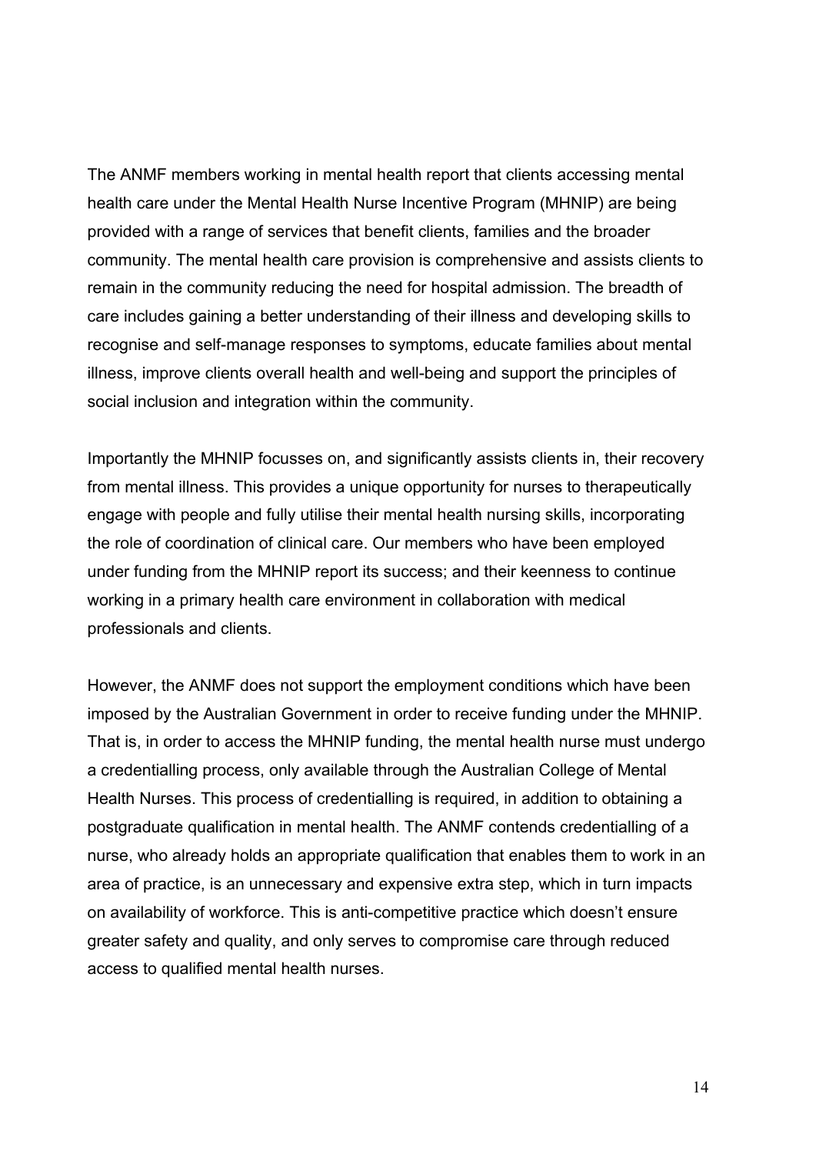The ANMF members working in mental health report that clients accessing mental health care under the Mental Health Nurse Incentive Program (MHNIP) are being provided with a range of services that benefit clients, families and the broader community. The mental health care provision is comprehensive and assists clients to remain in the community reducing the need for hospital admission. The breadth of care includes gaining a better understanding of their illness and developing skills to recognise and self-manage responses to symptoms, educate families about mental illness, improve clients overall health and well-being and support the principles of social inclusion and integration within the community.

Importantly the MHNIP focusses on, and significantly assists clients in, their recovery from mental illness. This provides a unique opportunity for nurses to therapeutically engage with people and fully utilise their mental health nursing skills, incorporating the role of coordination of clinical care. Our members who have been employed under funding from the MHNIP report its success; and their keenness to continue working in a primary health care environment in collaboration with medical professionals and clients.

However, the ANMF does not support the employment conditions which have been imposed by the Australian Government in order to receive funding under the MHNIP. That is, in order to access the MHNIP funding, the mental health nurse must undergo a credentialling process, only available through the Australian College of Mental Health Nurses. This process of credentialling is required, in addition to obtaining a postgraduate qualification in mental health. The ANMF contends credentialling of a nurse, who already holds an appropriate qualification that enables them to work in an area of practice, is an unnecessary and expensive extra step, which in turn impacts on availability of workforce. This is anti-competitive practice which doesn't ensure greater safety and quality, and only serves to compromise care through reduced access to qualified mental health nurses.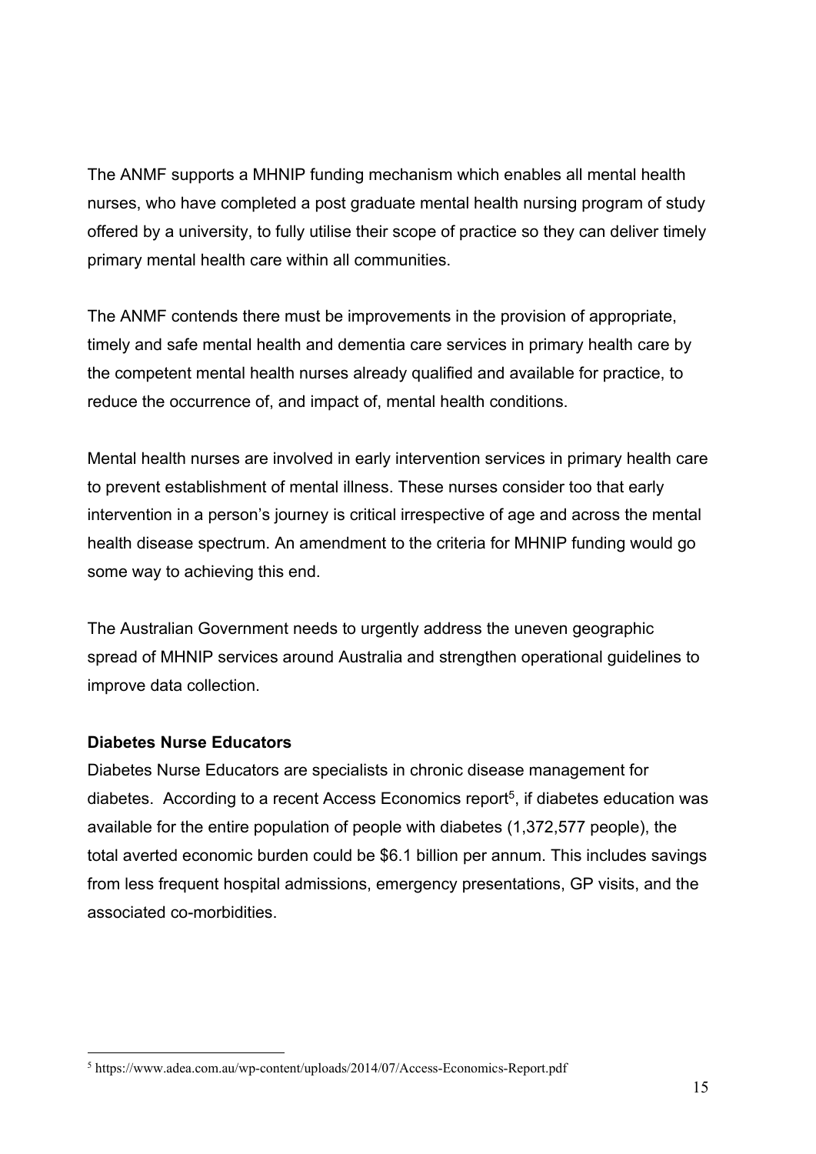The ANMF supports a MHNIP funding mechanism which enables all mental health nurses, who have completed a post graduate mental health nursing program of study offered by a university, to fully utilise their scope of practice so they can deliver timely primary mental health care within all communities.

The ANMF contends there must be improvements in the provision of appropriate, timely and safe mental health and dementia care services in primary health care by the competent mental health nurses already qualified and available for practice, to reduce the occurrence of, and impact of, mental health conditions.

Mental health nurses are involved in early intervention services in primary health care to prevent establishment of mental illness. These nurses consider too that early intervention in a person's journey is critical irrespective of age and across the mental health disease spectrum. An amendment to the criteria for MHNIP funding would go some way to achieving this end.

The Australian Government needs to urgently address the uneven geographic spread of MHNIP services around Australia and strengthen operational guidelines to improve data collection.

## **Diabetes Nurse Educators**

<u>.</u>

Diabetes Nurse Educators are specialists in chronic disease management for diabetes. According to a recent Access Economics report<sup>5</sup>, if diabetes education was available for the entire population of people with diabetes (1,372,577 people), the total averted economic burden could be \$6.1 billion per annum. This includes savings from less frequent hospital admissions, emergency presentations, GP visits, and the associated co-morbidities.

<sup>&</sup>lt;sup>5</sup> https://www.adea.com.au/wp-content/uploads/2014/07/Access-Economics-Report.pdf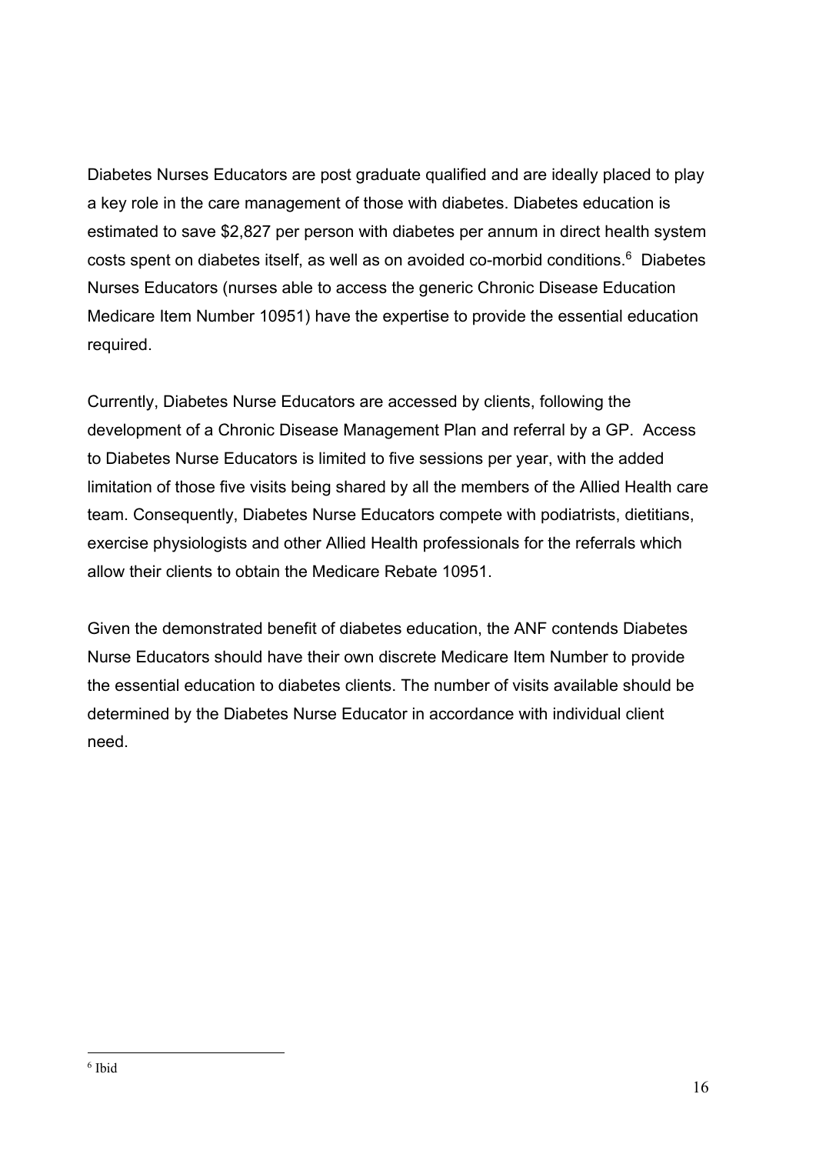Diabetes Nurses Educators are post graduate qualified and are ideally placed to play a key role in the care management of those with diabetes. Diabetes education is estimated to save \$2,827 per person with diabetes per annum in direct health system costs spent on diabetes itself, as well as on avoided co-morbid conditions.<sup>6</sup> Diabetes Nurses Educators (nurses able to access the generic Chronic Disease Education Medicare Item Number 10951) have the expertise to provide the essential education required.

Currently, Diabetes Nurse Educators are accessed by clients, following the development of a Chronic Disease Management Plan and referral by a GP. Access to Diabetes Nurse Educators is limited to five sessions per year, with the added limitation of those five visits being shared by all the members of the Allied Health care team. Consequently, Diabetes Nurse Educators compete with podiatrists, dietitians, exercise physiologists and other Allied Health professionals for the referrals which allow their clients to obtain the Medicare Rebate 10951.

Given the demonstrated benefit of diabetes education, the ANF contends Diabetes Nurse Educators should have their own discrete Medicare Item Number to provide the essential education to diabetes clients. The number of visits available should be determined by the Diabetes Nurse Educator in accordance with individual client need.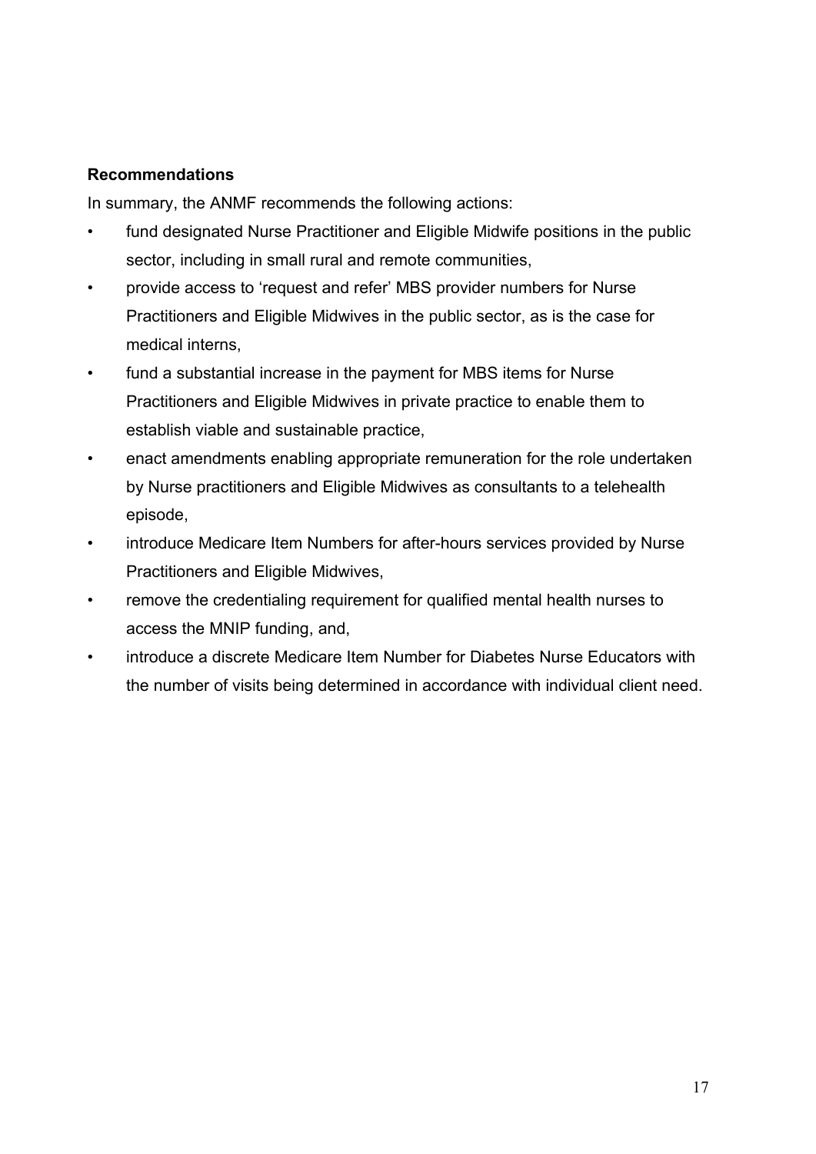## **Recommendations**

In summary, the ANMF recommends the following actions:

- fund designated Nurse Practitioner and Eligible Midwife positions in the public sector, including in small rural and remote communities,
- provide access to 'request and refer' MBS provider numbers for Nurse Practitioners and Eligible Midwives in the public sector, as is the case for medical interns,
- fund a substantial increase in the payment for MBS items for Nurse Practitioners and Eligible Midwives in private practice to enable them to establish viable and sustainable practice,
- enact amendments enabling appropriate remuneration for the role undertaken by Nurse practitioners and Eligible Midwives as consultants to a telehealth episode,
- introduce Medicare Item Numbers for after-hours services provided by Nurse Practitioners and Eligible Midwives,
- remove the credentialing requirement for qualified mental health nurses to access the MNIP funding, and,
- introduce a discrete Medicare Item Number for Diabetes Nurse Educators with the number of visits being determined in accordance with individual client need.